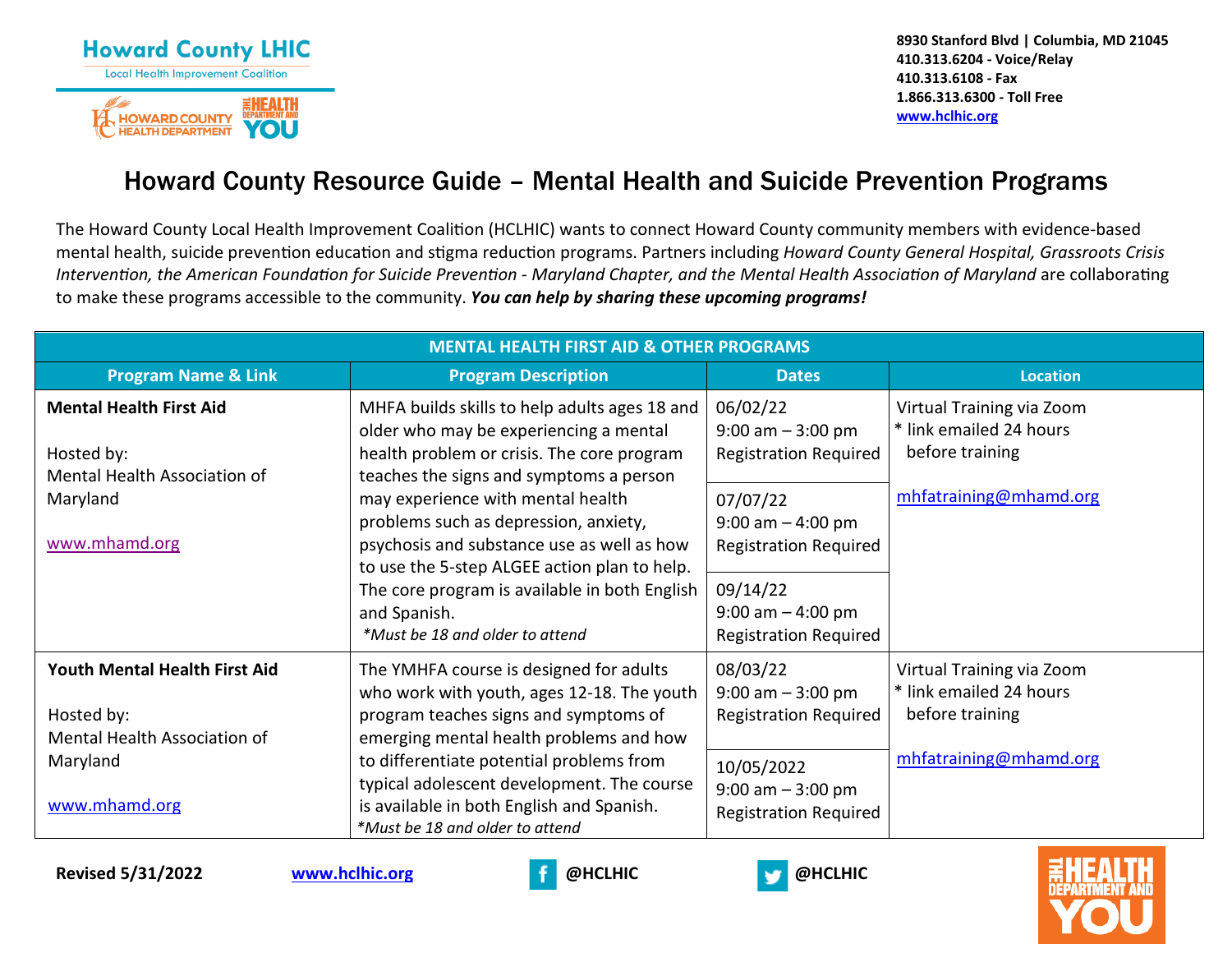

**8930 Stanford Blvd | Columbia, MD 21045 410.313.6204 - Voice/Relay 410.313.6108 - Fax 1.866.313.6300 - Toll Free [www.hclhic.org](http://www.hclhic.org/)** 

## Howard County Resource Guide – Mental Health and Suicide Prevention Programs

The Howard County Local Health Improvement Coalition (HCLHIC) wants to connect Howard County community members with evidence-based mental health, suicide prevention education and stigma reduction programs. Partners including *Howard County General Hospital, Grassroots Crisis Intervention, the American Foundation for Suicide Prevention - Maryland Chapter, and the Mental Health Association of Maryland are collaborating* to make these programs accessible to the community. *You can help by sharing these upcoming programs!*

| <b>MENTAL HEALTH FIRST AID &amp; OTHER PROGRAMS</b>                                                             |                                                                                                                                                                                                                                                                                                                                                                                                                                                                  |                                                                                                                                        |                                                                                                   |  |  |
|-----------------------------------------------------------------------------------------------------------------|------------------------------------------------------------------------------------------------------------------------------------------------------------------------------------------------------------------------------------------------------------------------------------------------------------------------------------------------------------------------------------------------------------------------------------------------------------------|----------------------------------------------------------------------------------------------------------------------------------------|---------------------------------------------------------------------------------------------------|--|--|
| <b>Program Name &amp; Link</b>                                                                                  | <b>Program Description</b>                                                                                                                                                                                                                                                                                                                                                                                                                                       | <b>Dates</b>                                                                                                                           | <b>Location</b>                                                                                   |  |  |
| <b>Mental Health First Aid</b><br>Hosted by:<br>Mental Health Association of                                    | MHFA builds skills to help adults ages 18 and<br>older who may be experiencing a mental<br>health problem or crisis. The core program<br>teaches the signs and symptoms a person<br>may experience with mental health<br>problems such as depression, anxiety,<br>psychosis and substance use as well as how<br>to use the 5-step ALGEE action plan to help.<br>The core program is available in both English<br>and Spanish.<br>*Must be 18 and older to attend | 06/02/22<br>$9:00$ am $-3:00$ pm<br><b>Registration Required</b>                                                                       | Virtual Training via Zoom<br>* link emailed 24 hours<br>before training                           |  |  |
| Maryland<br>www.mhamd.org                                                                                       |                                                                                                                                                                                                                                                                                                                                                                                                                                                                  | 07/07/22<br>$9:00$ am $-4:00$ pm<br><b>Registration Required</b><br>09/14/22<br>$9:00$ am $-4:00$ pm<br><b>Registration Required</b>   | mhfatraining@mhamd.org                                                                            |  |  |
| <b>Youth Mental Health First Aid</b><br>Hosted by:<br>Mental Health Association of<br>Maryland<br>www.mhamd.org | The YMHFA course is designed for adults<br>who work with youth, ages 12-18. The youth<br>program teaches signs and symptoms of<br>emerging mental health problems and how<br>to differentiate potential problems from<br>typical adolescent development. The course<br>is available in both English and Spanish.<br>*Must be 18 and older to attend                                                                                                              | 08/03/22<br>$9:00$ am $-3:00$ pm<br><b>Registration Required</b><br>10/05/2022<br>$9:00$ am $-3:00$ pm<br><b>Registration Required</b> | Virtual Training via Zoom<br>* link emailed 24 hours<br>before training<br>mhfatraining@mhamd.org |  |  |





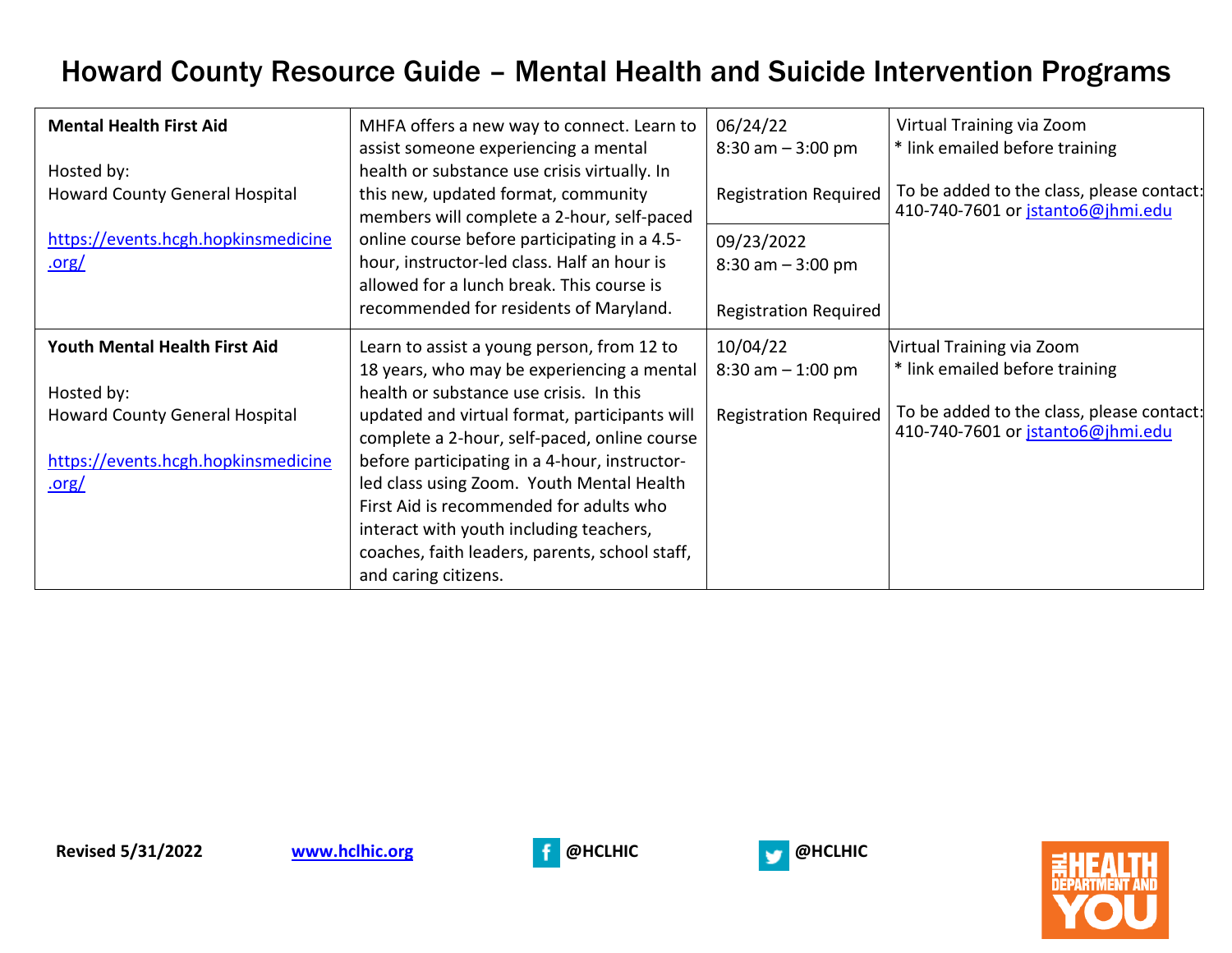## Howard County Resource Guide – Mental Health and Suicide Intervention Programs

| <b>Mental Health First Aid</b>               | MHFA offers a new way to connect. Learn to<br>assist someone experiencing a mental                                                                                                                                                                         | 06/24/22<br>$8:30$ am $-3:00$ pm   | Virtual Training via Zoom<br>* link emailed before training                    |
|----------------------------------------------|------------------------------------------------------------------------------------------------------------------------------------------------------------------------------------------------------------------------------------------------------------|------------------------------------|--------------------------------------------------------------------------------|
| Hosted by:<br>Howard County General Hospital | health or substance use crisis virtually. In<br>this new, updated format, community<br>members will complete a 2-hour, self-paced                                                                                                                          | <b>Registration Required</b>       | To be added to the class, please contact:<br>410-740-7601 or jstanto6@jhmi.edu |
| https://events.hcgh.hopkinsmedicine<br>.org/ | online course before participating in a 4.5-<br>hour, instructor-led class. Half an hour is<br>allowed for a lunch break. This course is                                                                                                                   | 09/23/2022<br>$8:30$ am $-3:00$ pm |                                                                                |
|                                              | recommended for residents of Maryland.                                                                                                                                                                                                                     | <b>Registration Required</b>       |                                                                                |
| Youth Mental Health First Aid<br>Hosted by:  | Learn to assist a young person, from 12 to<br>18 years, who may be experiencing a mental<br>health or substance use crisis. In this                                                                                                                        | 10/04/22<br>$8:30$ am $-1:00$ pm   | Virtual Training via Zoom<br>* link emailed before training                    |
| <b>Howard County General Hospital</b>        | updated and virtual format, participants will<br>complete a 2-hour, self-paced, online course                                                                                                                                                              | <b>Registration Required</b>       | To be added to the class, please contact:<br>410-740-7601 or jstanto6@jhmi.edu |
| https://events.hcgh.hopkinsmedicine<br>.org/ | before participating in a 4-hour, instructor-<br>led class using Zoom. Youth Mental Health<br>First Aid is recommended for adults who<br>interact with youth including teachers,<br>coaches, faith leaders, parents, school staff,<br>and caring citizens. |                                    |                                                                                |





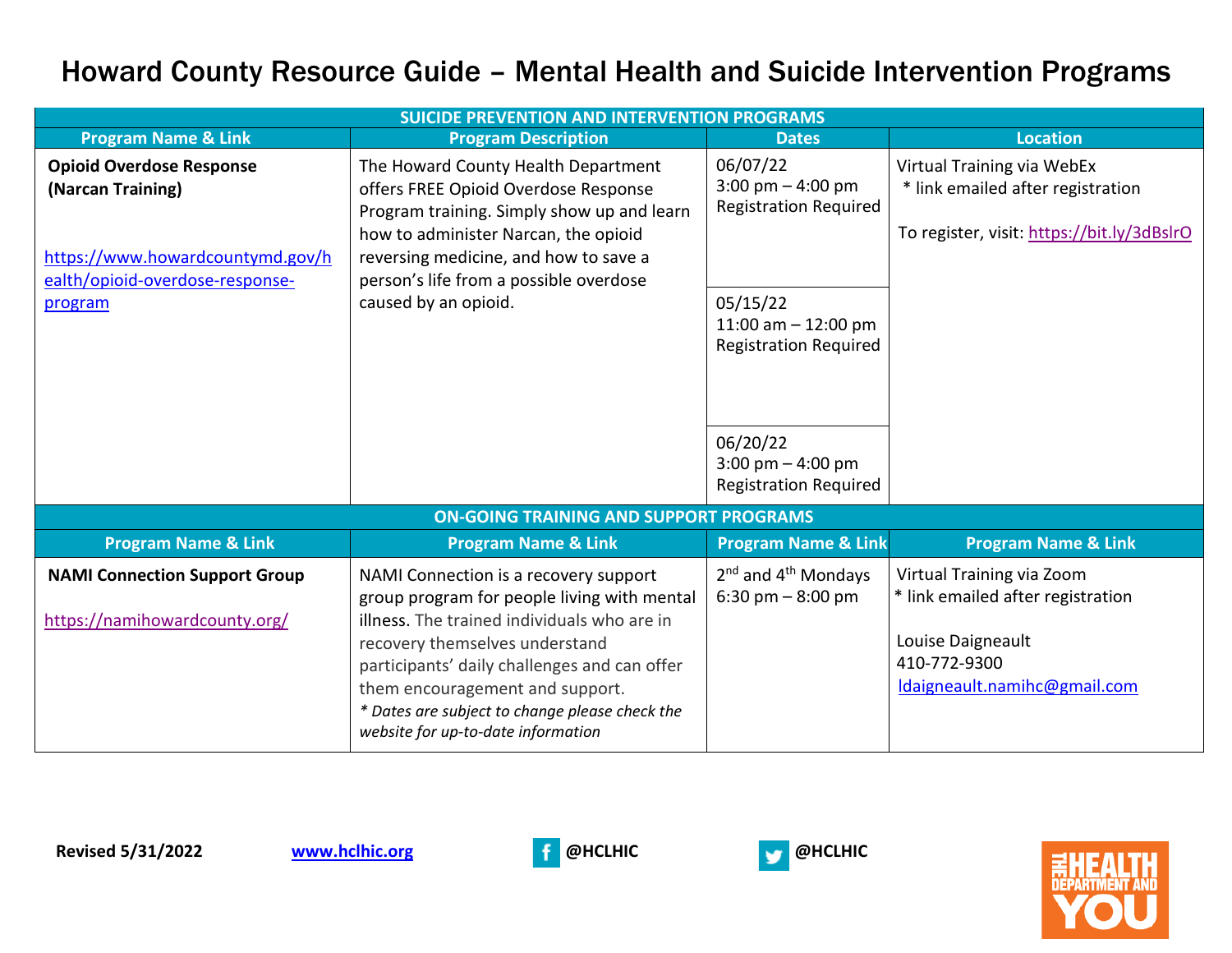## Howard County Resource Guide – Mental Health and Suicide Intervention Programs

| <b>SUICIDE PREVENTION AND INTERVENTION PROGRAMS</b>                   |                                                                                                                                                                                                                                                                                                                                                  |                                                                   |                                                                                                                                     |  |
|-----------------------------------------------------------------------|--------------------------------------------------------------------------------------------------------------------------------------------------------------------------------------------------------------------------------------------------------------------------------------------------------------------------------------------------|-------------------------------------------------------------------|-------------------------------------------------------------------------------------------------------------------------------------|--|
| <b>Program Name &amp; Link</b>                                        | <b>Program Description</b>                                                                                                                                                                                                                                                                                                                       | <b>Dates</b>                                                      | <b>Location</b>                                                                                                                     |  |
| <b>Opioid Overdose Response</b><br>(Narcan Training)                  | The Howard County Health Department<br>offers FREE Opioid Overdose Response<br>Program training. Simply show up and learn<br>how to administer Narcan, the opioid                                                                                                                                                                                | 06/07/22<br>3:00 pm $-$ 4:00 pm<br><b>Registration Required</b>   | Virtual Training via WebEx<br>* link emailed after registration<br>To register, visit: https://bit.ly/3dBslrO                       |  |
| https://www.howardcountymd.gov/h<br>ealth/opioid-overdose-response-   | reversing medicine, and how to save a<br>person's life from a possible overdose                                                                                                                                                                                                                                                                  |                                                                   |                                                                                                                                     |  |
| program                                                               | caused by an opioid.                                                                                                                                                                                                                                                                                                                             | 05/15/22<br>11:00 am $-$ 12:00 pm<br><b>Registration Required</b> |                                                                                                                                     |  |
|                                                                       |                                                                                                                                                                                                                                                                                                                                                  | 06/20/22<br>3:00 pm $-$ 4:00 pm<br><b>Registration Required</b>   |                                                                                                                                     |  |
|                                                                       | <b>ON-GOING TRAINING AND SUPPORT PROGRAMS</b>                                                                                                                                                                                                                                                                                                    |                                                                   |                                                                                                                                     |  |
| <b>Program Name &amp; Link</b>                                        | <b>Program Name &amp; Link</b>                                                                                                                                                                                                                                                                                                                   | <b>Program Name &amp; Link</b>                                    | <b>Program Name &amp; Link</b>                                                                                                      |  |
| <b>NAMI Connection Support Group</b><br>https://namihowardcounty.org/ | NAMI Connection is a recovery support<br>group program for people living with mental<br>illness. The trained individuals who are in<br>recovery themselves understand<br>participants' daily challenges and can offer<br>them encouragement and support.<br>* Dates are subject to change please check the<br>website for up-to-date information | $2nd$ and $4th$ Mondays<br>6:30 pm $-8:00$ pm                     | Virtual Training via Zoom<br>* link emailed after registration<br>Louise Daigneault<br>410-772-9300<br>Idaigneault.namihc@gmail.com |  |